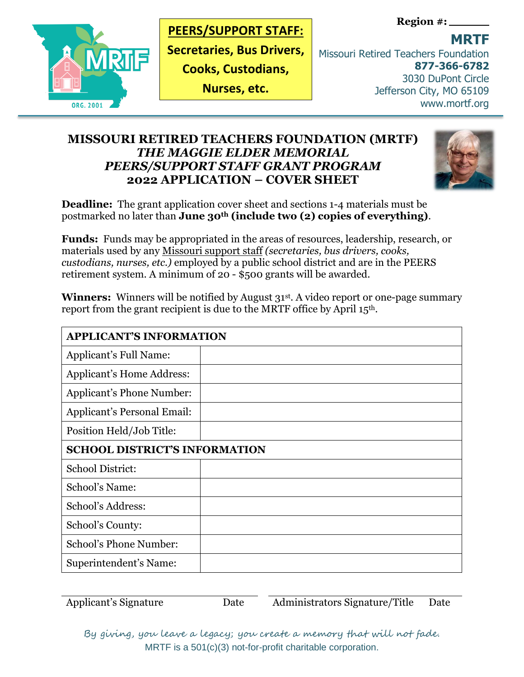

### **PEERS/SUPPORT STAFF:**

**Secretaries, Bus Drivers,** 

**Cooks, Custodians,** 

**Nurses, etc.**

**Region #:**

**MRTF** 

Missouri Retired Teachers Foundation **877-366-6782** 3030 DuPont Circle Jefferson City, MO 65109 www.mortf.org

# **MISSOURI RETIRED TEACHERS FOUNDATION (MRTF)** *THE MAGGIE ELDER MEMORIAL PEERS/SUPPORT STAFF GRANT PROGRAM*  **2022 APPLICATION – COVER SHEET**



**Deadline:** The grant application cover sheet and sections 1-4 materials must be postmarked no later than **June 30th (include two (2) copies of everything)**.

**Funds:** Funds may be appropriated in the areas of resources, leadership, research, or materials used by any Missouri support staff *(secretaries, bus drivers, cooks, custodians, nurses, etc.)* employed by a public school district and are in the PEERS retirement system. A minimum of 20 - \$500 grants will be awarded.

**Winners:** Winners will be notified by August 31<sup>st</sup>. A video report or one-page summary report from the grant recipient is due to the MRTF office by April 15th.

| <b>APPLICANT'S INFORMATION</b>       |  |
|--------------------------------------|--|
| Applicant's Full Name:               |  |
| <b>Applicant's Home Address:</b>     |  |
| Applicant's Phone Number:            |  |
| <b>Applicant's Personal Email:</b>   |  |
| Position Held/Job Title:             |  |
| <b>SCHOOL DISTRICT'S INFORMATION</b> |  |
| <b>School District:</b>              |  |
| School's Name:                       |  |
| School's Address:                    |  |
| School's County:                     |  |
| School's Phone Number:               |  |
| Superintendent's Name:               |  |

Applicant's Signature Date Administrators Signature/Title Date

By giving, you leave a legacy; you create a memory that will not fade. MRTF is a 501(c)(3) not-for-profit charitable corporation.